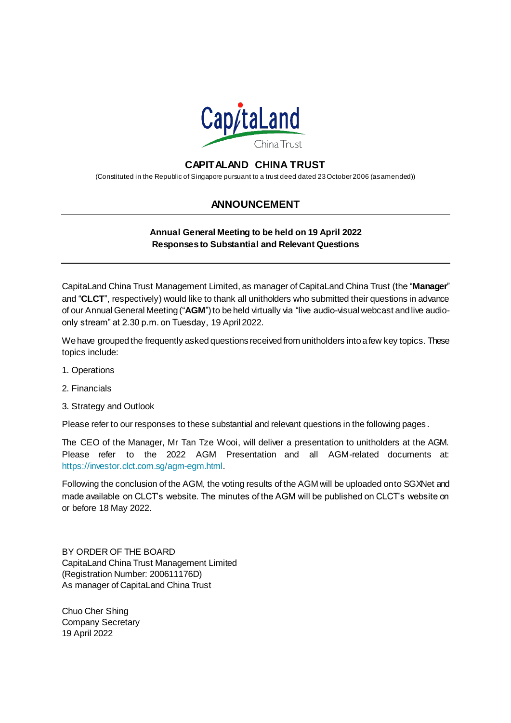

## **CAPITALAND CHINA TRUST**

(Constituted in the Republic of Singapore pursuant to a trust deed dated 23 October 2006 (as amended))

## **ANNOUNCEMENT**

## **Annual General Meeting to be held on 19 April 2022 Responses to Substantial and Relevant Questions**

CapitaLand China Trust Management Limited, as manager of CapitaLand China Trust (the "**Manager**" and "**CLCT**", respectively) would like to thank all unitholders who submitted their questions in advance of our Annual General Meeting ("**AGM**") to be held virtually via "live audio-visual webcast and live audioonly stream" at 2.30 p.m. on Tuesday, 19 April 2022.

We have grouped the frequently asked questions received from unitholders into a few key topics. These topics include:

- 1. Operations
- 2. Financials
- 3. Strategy and Outlook

Please refer to our responses to these substantial and relevant questions in the following pages .

The CEO of the Manager, Mr Tan Tze Wooi, will deliver a presentation to unitholders at the AGM. Please refer to the 2022 AGM Presentation and all AGM-related documents at: <https://investor.clct.com.sg/agm-egm.html>.

Following the conclusion of the AGM, the voting results of the AGM will be uploaded onto SGXNet and made available on CLCT's website. The minutes of the AGM will be published on CLCT's website on or before 18 May 2022.

BY ORDER OF THE BOARD CapitaLand China Trust Management Limited (Registration Number: 200611176D) As manager of CapitaLand China Trust

Chuo Cher Shing Company Secretary 19 April 2022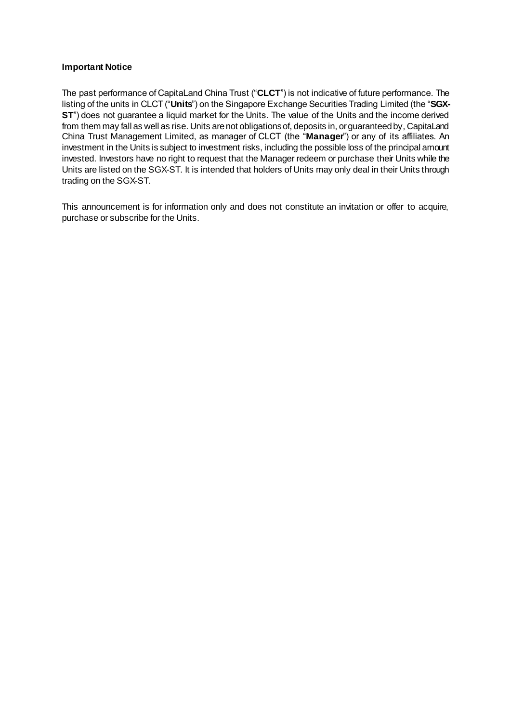## **Important Notice**

The past performance of CapitaLand China Trust ("**CLCT**") is not indicative of future performance. The listing of the units in CLCT ("**Units**") on the Singapore Exchange Securities Trading Limited (the "**SGX-ST**") does not guarantee a liquid market for the Units. The value of the Units and the income derived from them may fall as well as rise. Units are not obligations of, deposits in, or guaranteed by, CapitaLand China Trust Management Limited, as manager of CLCT (the "**Manager**") or any of its affiliates. An investment in the Units is subject to investment risks, including the possible loss of the principal amount invested. Investors have no right to request that the Manager redeem or purchase their Units while the Units are listed on the SGX-ST. It is intended that holders of Units may only deal in their Units through trading on the SGX-ST.

This announcement is for information only and does not constitute an invitation or offer to acquire, purchase or subscribe for the Units.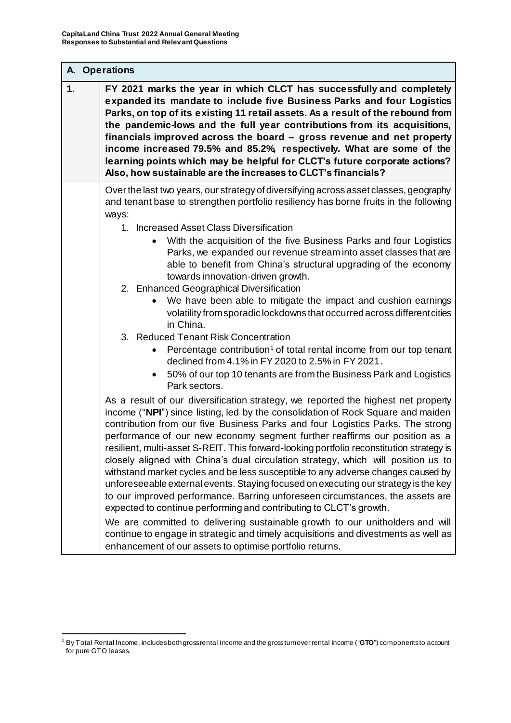|    | A. Operations                                                                                                                                                                                                                                                                                                                                                                                                                                                                                                                                                                                                                                                                                                                                                                                                                                                                                                                                                                                                                                                                                                |  |
|----|--------------------------------------------------------------------------------------------------------------------------------------------------------------------------------------------------------------------------------------------------------------------------------------------------------------------------------------------------------------------------------------------------------------------------------------------------------------------------------------------------------------------------------------------------------------------------------------------------------------------------------------------------------------------------------------------------------------------------------------------------------------------------------------------------------------------------------------------------------------------------------------------------------------------------------------------------------------------------------------------------------------------------------------------------------------------------------------------------------------|--|
| 1. | FY 2021 marks the year in which CLCT has successfully and completely<br>expanded its mandate to include five Business Parks and four Logistics<br>Parks, on top of its existing 11 retail assets. As a result of the rebound from<br>the pandemic-lows and the full year contributions from its acquisitions,<br>financials improved across the board - gross revenue and net property<br>income increased 79.5% and 85.2%, respectively. What are some of the<br>learning points which may be helpful for CLCT's future corporate actions?<br>Also, how sustainable are the increases to CLCT's financials?                                                                                                                                                                                                                                                                                                                                                                                                                                                                                                 |  |
|    | Over the last two years, our strategy of diversifying across asset classes, geography<br>and tenant base to strengthen portfolio resiliency has borne fruits in the following<br>ways:                                                                                                                                                                                                                                                                                                                                                                                                                                                                                                                                                                                                                                                                                                                                                                                                                                                                                                                       |  |
|    | 1. Increased Asset Class Diversification<br>With the acquisition of the five Business Parks and four Logistics<br>Parks, we expanded our revenue stream into asset classes that are<br>able to benefit from China's structural upgrading of the economy<br>towards innovation-driven growth.<br>2. Enhanced Geographical Diversification<br>We have been able to mitigate the impact and cushion earnings<br>volatility from sporadic lockdowns that occurred across different cities<br>in China.<br>3. Reduced Tenant Risk Concentration<br>Percentage contribution <sup>1</sup> of total rental income from our top tenant<br>declined from 4.1% in FY 2020 to 2.5% in FY 2021.<br>50% of our top 10 tenants are from the Business Park and Logistics                                                                                                                                                                                                                                                                                                                                                     |  |
|    | Park sectors.<br>As a result of our diversification strategy, we reported the highest net property<br>income ("NPI") since listing, led by the consolidation of Rock Square and maiden<br>contribution from our five Business Parks and four Logistics Parks. The strong<br>performance of our new economy segment further reaffirms our position as a<br>resilient, multi-asset S-REIT. This forward-looking portfolio reconstitution strategy is<br>closely aligned with China's dual circulation strategy, which will position us to<br>withstand market cycles and be less susceptible to any adverse changes caused by<br>unforeseeable external events. Staying focused on executing our strategy is the key<br>to our improved performance. Barring unforeseen circumstances, the assets are<br>expected to continue performing and contributing to CLCT's growth.<br>We are committed to delivering sustainable growth to our unitholders and will<br>continue to engage in strategic and timely acquisitions and divestments as well as<br>enhancement of our assets to optimise portfolio returns. |  |

 $\overline{a}$ <sup>1</sup> By Total Rental Income, includes both gross rental income and the gross turnover rental income ("**GTO**") components to account for pure GTO leases.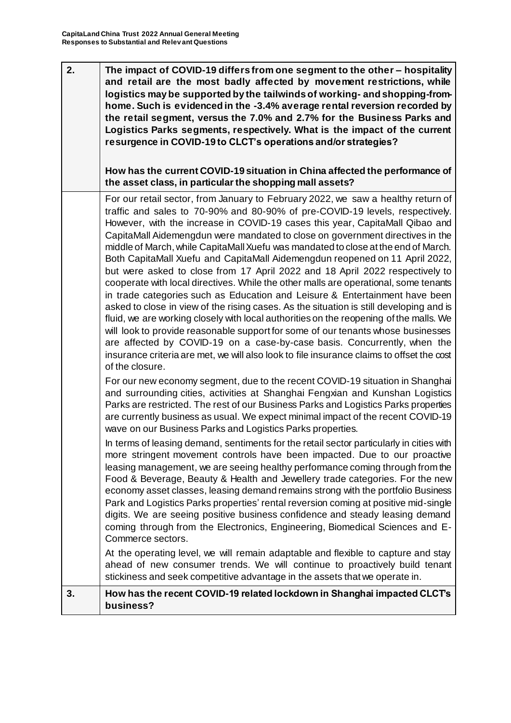| 2. | The impact of COVID-19 differs from one segment to the other - hospitality<br>and retail are the most badly affected by movement restrictions, while<br>logistics may be supported by the tailwinds of working- and shopping-from-<br>home. Such is evidenced in the -3.4% average rental reversion recorded by<br>the retail segment, versus the 7.0% and 2.7% for the Business Parks and<br>Logistics Parks segments, respectively. What is the impact of the current<br>resurgence in COVID-19 to CLCT's operations and/or strategies?<br>How has the current COVID-19 situation in China affected the performance of<br>the asset class, in particular the shopping mall assets?                                                                                                                                                                                                                                                                                                                                                                                                                                                                                                                                                                                                                                                                                |
|----|---------------------------------------------------------------------------------------------------------------------------------------------------------------------------------------------------------------------------------------------------------------------------------------------------------------------------------------------------------------------------------------------------------------------------------------------------------------------------------------------------------------------------------------------------------------------------------------------------------------------------------------------------------------------------------------------------------------------------------------------------------------------------------------------------------------------------------------------------------------------------------------------------------------------------------------------------------------------------------------------------------------------------------------------------------------------------------------------------------------------------------------------------------------------------------------------------------------------------------------------------------------------------------------------------------------------------------------------------------------------|
|    | For our retail sector, from January to February 2022, we saw a healthy return of<br>traffic and sales to 70-90% and 80-90% of pre-COVID-19 levels, respectively.<br>However, with the increase in COVID-19 cases this year, CapitaMall Qibao and<br>CapitaMall Aidemengdun were mandated to close on government directives in the<br>middle of March, while CapitaMall Xuefu was mandated to close at the end of March.<br>Both CapitaMall Xuefu and CapitaMall Aidemengdun reopened on 11 April 2022,<br>but were asked to close from 17 April 2022 and 18 April 2022 respectively to<br>cooperate with local directives. While the other malls are operational, some tenants<br>in trade categories such as Education and Leisure & Entertainment have been<br>asked to close in view of the rising cases. As the situation is still developing and is<br>fluid, we are working closely with local authorities on the reopening of the malls. We<br>will look to provide reasonable support for some of our tenants whose businesses<br>are affected by COVID-19 on a case-by-case basis. Concurrently, when the<br>insurance criteria are met, we will also look to file insurance claims to offset the cost<br>of the closure.                                                                                                                                  |
|    | For our new economy segment, due to the recent COVID-19 situation in Shanghai<br>and surrounding cities, activities at Shanghai Fengxian and Kunshan Logistics<br>Parks are restricted. The rest of our Business Parks and Logistics Parks properties<br>are currently business as usual. We expect minimal impact of the recent COVID-19<br>wave on our Business Parks and Logistics Parks properties.<br>In terms of leasing demand, sentiments for the retail sector particularly in cities with<br>more stringent movement controls have been impacted. Due to our proactive<br>leasing management, we are seeing healthy performance coming through from the<br>Food & Beverage, Beauty & Health and Jewellery trade categories. For the new<br>economy asset classes, leasing demand remains strong with the portfolio Business<br>Park and Logistics Parks properties' rental reversion coming at positive mid-single<br>digits. We are seeing positive business confidence and steady leasing demand<br>coming through from the Electronics, Engineering, Biomedical Sciences and E-<br>Commerce sectors.<br>At the operating level, we will remain adaptable and flexible to capture and stay<br>ahead of new consumer trends. We will continue to proactively build tenant<br>stickiness and seek competitive advantage in the assets that we operate in. |
| 3. | How has the recent COVID-19 related lockdown in Shanghai impacted CLCTs<br>business?                                                                                                                                                                                                                                                                                                                                                                                                                                                                                                                                                                                                                                                                                                                                                                                                                                                                                                                                                                                                                                                                                                                                                                                                                                                                                |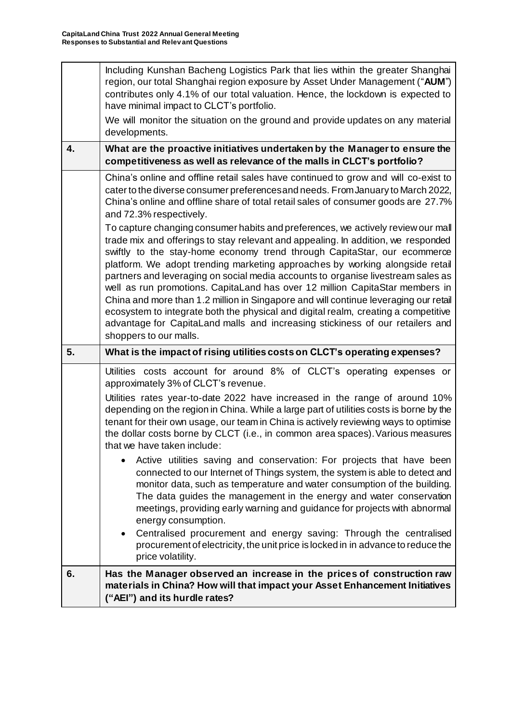| 6. | Has the Manager observed an increase in the prices of construction raw<br>materials in China? How will that impact your Asset Enhancement Initiatives<br>("AEI") and its hurdle rates?                                                                                                                                                                                                                                                                                                                                                                                                                                                                                                                                                                                                                                                                                                                                                                                                                                                                                                     |
|----|--------------------------------------------------------------------------------------------------------------------------------------------------------------------------------------------------------------------------------------------------------------------------------------------------------------------------------------------------------------------------------------------------------------------------------------------------------------------------------------------------------------------------------------------------------------------------------------------------------------------------------------------------------------------------------------------------------------------------------------------------------------------------------------------------------------------------------------------------------------------------------------------------------------------------------------------------------------------------------------------------------------------------------------------------------------------------------------------|
|    | Active utilities saving and conservation: For projects that have been<br>connected to our Internet of Things system, the system is able to detect and<br>monitor data, such as temperature and water consumption of the building.<br>The data guides the management in the energy and water conservation<br>meetings, providing early warning and guidance for projects with abnormal<br>energy consumption.<br>Centralised procurement and energy saving: Through the centralised<br>procurement of electricity, the unit price is locked in in advance to reduce the<br>price volatility.                                                                                                                                                                                                                                                                                                                                                                                                                                                                                                |
|    | Utilities costs account for around 8% of CLCT's operating expenses or<br>approximately 3% of CLCT's revenue.<br>Utilities rates year-to-date 2022 have increased in the range of around 10%<br>depending on the region in China. While a large part of utilities costs is borne by the<br>tenant for their own usage, our team in China is actively reviewing ways to optimise<br>the dollar costs borne by CLCT (i.e., in common area spaces). Various measures<br>that we have taken include:                                                                                                                                                                                                                                                                                                                                                                                                                                                                                                                                                                                            |
| 5. | What is the impact of rising utilities costs on CLCT's operating expenses?                                                                                                                                                                                                                                                                                                                                                                                                                                                                                                                                                                                                                                                                                                                                                                                                                                                                                                                                                                                                                 |
|    | China's online and offline retail sales have continued to grow and will co-exist to<br>cater to the diverse consumer preferences and needs. From January to March 2022,<br>China's online and offline share of total retail sales of consumer goods are 27.7%<br>and 72.3% respectively.<br>To capture changing consumer habits and preferences, we actively review our mall<br>trade mix and offerings to stay relevant and appealing. In addition, we responded<br>swiftly to the stay-home economy trend through CapitaStar, our ecommerce<br>platform. We adopt trending marketing approaches by working alongside retail<br>partners and leveraging on social media accounts to organise livestream sales as<br>well as run promotions. CapitaLand has over 12 million CapitaStar members in<br>China and more than 1.2 million in Singapore and will continue leveraging our retail<br>ecosystem to integrate both the physical and digital realm, creating a competitive<br>advantage for CapitaLand malls and increasing stickiness of our retailers and<br>shoppers to our malls. |
| 4. | What are the proactive initiatives undertaken by the Manager to ensure the<br>competitiveness as well as relevance of the malls in CLCT's portfolio?                                                                                                                                                                                                                                                                                                                                                                                                                                                                                                                                                                                                                                                                                                                                                                                                                                                                                                                                       |
|    | We will monitor the situation on the ground and provide updates on any material<br>developments.                                                                                                                                                                                                                                                                                                                                                                                                                                                                                                                                                                                                                                                                                                                                                                                                                                                                                                                                                                                           |
|    | Including Kunshan Bacheng Logistics Park that lies within the greater Shanghai<br>region, our total Shanghai region exposure by Asset Under Management ("AUM")<br>contributes only 4.1% of our total valuation. Hence, the lockdown is expected to<br>have minimal impact to CLCT's portfolio.                                                                                                                                                                                                                                                                                                                                                                                                                                                                                                                                                                                                                                                                                                                                                                                             |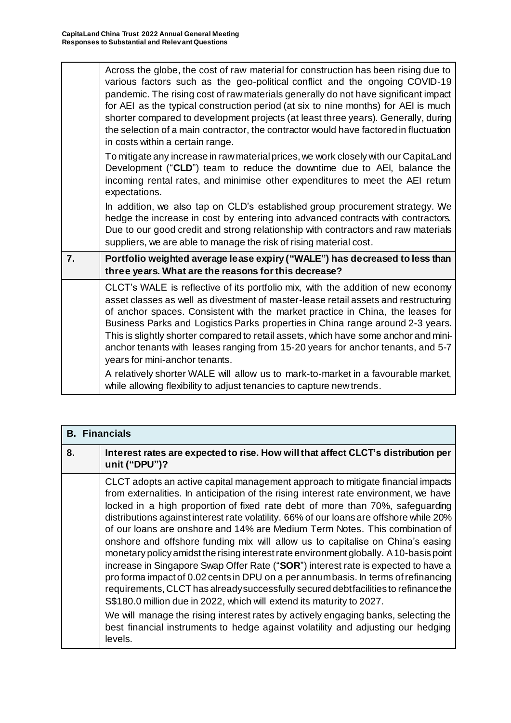| various factors such as the geo-political conflict and the ongoing COVID-19<br>pandemic. The rising cost of raw materials generally do not have significant impact<br>for AEI as the typical construction period (at six to nine months) for AEI is much<br>shorter compared to development projects (at least three years). Generally, during<br>the selection of a main contractor, the contractor would have factored in fluctuation<br>in costs within a certain range.                                                                                                                                                                                                                                            |
|------------------------------------------------------------------------------------------------------------------------------------------------------------------------------------------------------------------------------------------------------------------------------------------------------------------------------------------------------------------------------------------------------------------------------------------------------------------------------------------------------------------------------------------------------------------------------------------------------------------------------------------------------------------------------------------------------------------------|
| To mitigate any increase in raw material prices, we work closely with our CapitaLand<br>Development ("CLD") team to reduce the downtime due to AEI, balance the<br>incoming rental rates, and minimise other expenditures to meet the AEI return<br>expectations.                                                                                                                                                                                                                                                                                                                                                                                                                                                      |
| In addition, we also tap on CLD's established group procurement strategy. We<br>hedge the increase in cost by entering into advanced contracts with contractors.<br>Due to our good credit and strong relationship with contractors and raw materials<br>suppliers, we are able to manage the risk of rising material cost.                                                                                                                                                                                                                                                                                                                                                                                            |
| Portfolio weighted average lease expiry ("WALE") has decreased to less than<br>three years. What are the reasons for this decrease?                                                                                                                                                                                                                                                                                                                                                                                                                                                                                                                                                                                    |
| CLCT's WALE is reflective of its portfolio mix, with the addition of new economy<br>asset classes as well as divestment of master-lease retail assets and restructuring<br>of anchor spaces. Consistent with the market practice in China, the leases for<br>Business Parks and Logistics Parks properties in China range around 2-3 years.<br>This is slightly shorter compared to retail assets, which have some anchor and mini-<br>anchor tenants with leases ranging from 15-20 years for anchor tenants, and 5-7<br>years for mini-anchor tenants.<br>A relatively shorter WALE will allow us to mark-to-market in a favourable market,<br>while allowing flexibility to adjust tenancies to capture new trends. |
|                                                                                                                                                                                                                                                                                                                                                                                                                                                                                                                                                                                                                                                                                                                        |

| <b>B.</b> Financials |                                                                                                                                                                                                                                                                                                                                                                                                                                                                                                                                                                                                                                                                                                                                                                                                                                                                                                                                                                                                                                                                                                                                               |
|----------------------|-----------------------------------------------------------------------------------------------------------------------------------------------------------------------------------------------------------------------------------------------------------------------------------------------------------------------------------------------------------------------------------------------------------------------------------------------------------------------------------------------------------------------------------------------------------------------------------------------------------------------------------------------------------------------------------------------------------------------------------------------------------------------------------------------------------------------------------------------------------------------------------------------------------------------------------------------------------------------------------------------------------------------------------------------------------------------------------------------------------------------------------------------|
| 8.                   | Interest rates are expected to rise. How will that affect CLCT's distribution per<br>unit ("DPU")?                                                                                                                                                                                                                                                                                                                                                                                                                                                                                                                                                                                                                                                                                                                                                                                                                                                                                                                                                                                                                                            |
|                      | CLCT adopts an active capital management approach to mitigate financial impacts<br>from externalities. In anticipation of the rising interest rate environment, we have<br>locked in a high proportion of fixed rate debt of more than 70%, safeguarding<br>distributions against interest rate volatility. 66% of our loans are offshore while 20%<br>of our loans are onshore and 14% are Medium Term Notes. This combination of<br>onshore and offshore funding mix will allow us to capitalise on China's easing<br>monetary policy amidst the rising interest rate environment globally. A 10-basis point<br>increase in Singapore Swap Offer Rate ("SOR") interest rate is expected to have a<br>proforma impact of 0.02 cents in DPU on a per annumbasis. In terms of refinancing<br>requirements, CLCT has already successfully secured debtfacilities to refinance the<br>S\$180.0 million due in 2022, which will extend its maturity to 2027.<br>We will manage the rising interest rates by actively engaging banks, selecting the<br>best financial instruments to hedge against volatility and adjusting our hedging<br>levels. |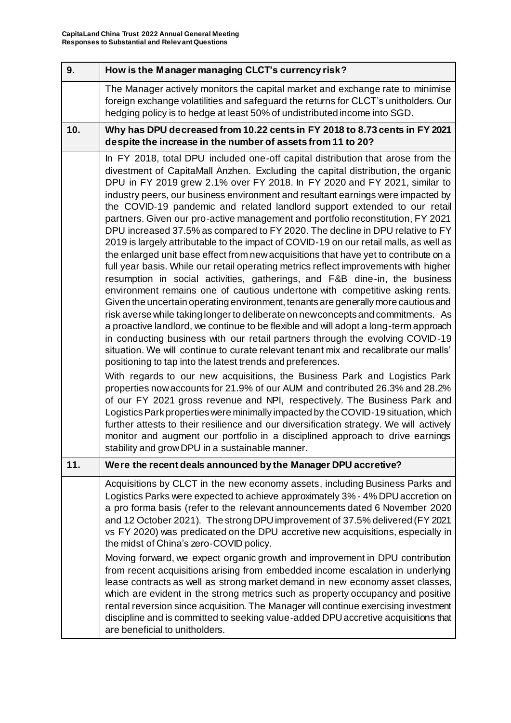| 9.  | How is the Manager managing CLCT's currency risk?                                                                                                                                                                                                                                                                                                                                                                                                                                                                                                                                                                                                                                                                                                                                                                                                                                                                                                                                                                                                                                                                                                                                                                                                                                                                                                                                                                                                                                                                                                                                                                                                                                                                                                                                                                                                                                                                                                                                                                                                                                                      |
|-----|--------------------------------------------------------------------------------------------------------------------------------------------------------------------------------------------------------------------------------------------------------------------------------------------------------------------------------------------------------------------------------------------------------------------------------------------------------------------------------------------------------------------------------------------------------------------------------------------------------------------------------------------------------------------------------------------------------------------------------------------------------------------------------------------------------------------------------------------------------------------------------------------------------------------------------------------------------------------------------------------------------------------------------------------------------------------------------------------------------------------------------------------------------------------------------------------------------------------------------------------------------------------------------------------------------------------------------------------------------------------------------------------------------------------------------------------------------------------------------------------------------------------------------------------------------------------------------------------------------------------------------------------------------------------------------------------------------------------------------------------------------------------------------------------------------------------------------------------------------------------------------------------------------------------------------------------------------------------------------------------------------------------------------------------------------------------------------------------------------|
|     | The Manager actively monitors the capital market and exchange rate to minimise<br>foreign exchange volatilities and safeguard the returns for CLCT's unitholders. Our<br>hedging policy is to hedge at least 50% of undistributed income into SGD.                                                                                                                                                                                                                                                                                                                                                                                                                                                                                                                                                                                                                                                                                                                                                                                                                                                                                                                                                                                                                                                                                                                                                                                                                                                                                                                                                                                                                                                                                                                                                                                                                                                                                                                                                                                                                                                     |
| 10. | Why has DPU decreased from 10.22 cents in FY 2018 to 8.73 cents in FY 2021<br>despite the increase in the number of assets from 11 to 20?                                                                                                                                                                                                                                                                                                                                                                                                                                                                                                                                                                                                                                                                                                                                                                                                                                                                                                                                                                                                                                                                                                                                                                                                                                                                                                                                                                                                                                                                                                                                                                                                                                                                                                                                                                                                                                                                                                                                                              |
|     | In FY 2018, total DPU included one-off capital distribution that arose from the<br>divestment of CapitaMall Anzhen. Excluding the capital distribution, the organic<br>DPU in FY 2019 grew 2.1% over FY 2018. In FY 2020 and FY 2021, similar to<br>industry peers, our business environment and resultant earnings were impacted by<br>the COVID-19 pandemic and related landlord support extended to our retail<br>partners. Given our pro-active management and portfolio reconstitution, FY 2021<br>DPU increased 37.5% as compared to FY 2020. The decline in DPU relative to FY<br>2019 is largely attributable to the impact of COVID-19 on our retail malls, as well as<br>the enlarged unit base effect from new acquisitions that have yet to contribute on a<br>full year basis. While our retail operating metrics reflect improvements with higher<br>resumption in social activities, gatherings, and F&B dine-in, the business<br>environment remains one of cautious undertone with competitive asking rents.<br>Given the uncertain operating environment, tenants are generally more cautious and<br>risk averse while taking longer to deliberate on new concepts and commitments. As<br>a proactive landlord, we continue to be flexible and will adopt a long-term approach<br>in conducting business with our retail partners through the evolving COVID-19<br>situation. We will continue to curate relevant tenant mix and recalibrate our malls'<br>positioning to tap into the latest trends and preferences.<br>With regards to our new acquisitions, the Business Park and Logistics Park<br>properties now accounts for 21.9% of our AUM and contributed 26.3% and 28.2%<br>of our FY 2021 gross revenue and NPI, respectively. The Business Park and<br>Logistics Park properties were minimally impacted by the COVID-19 situation, which<br>further attests to their resilience and our diversification strategy. We will actively<br>monitor and augment our portfolio in a disciplined approach to drive earnings<br>stability and grow DPU in a sustainable manner. |
| 11. | Were the recent deals announced by the Manager DPU accretive?                                                                                                                                                                                                                                                                                                                                                                                                                                                                                                                                                                                                                                                                                                                                                                                                                                                                                                                                                                                                                                                                                                                                                                                                                                                                                                                                                                                                                                                                                                                                                                                                                                                                                                                                                                                                                                                                                                                                                                                                                                          |
|     | Acquisitions by CLCT in the new economy assets, including Business Parks and<br>Logistics Parks were expected to achieve approximately 3% - 4% DPU accretion on<br>a pro forma basis (refer to the relevant announcements dated 6 November 2020<br>and 12 October 2021). The strong DPU improvement of 37.5% delivered (FY 2021<br>vs FY 2020) was predicated on the DPU accretive new acquisitions, especially in<br>the midst of China's zero-COVID policy.<br>Moving forward, we expect organic growth and improvement in DPU contribution<br>from recent acquisitions arising from embedded income escalation in underlying<br>lease contracts as well as strong market demand in new economy asset classes,<br>which are evident in the strong metrics such as property occupancy and positive<br>rental reversion since acquisition. The Manager will continue exercising investment<br>discipline and is committed to seeking value-added DPU accretive acquisitions that<br>are beneficial to unitholders.                                                                                                                                                                                                                                                                                                                                                                                                                                                                                                                                                                                                                                                                                                                                                                                                                                                                                                                                                                                                                                                                                     |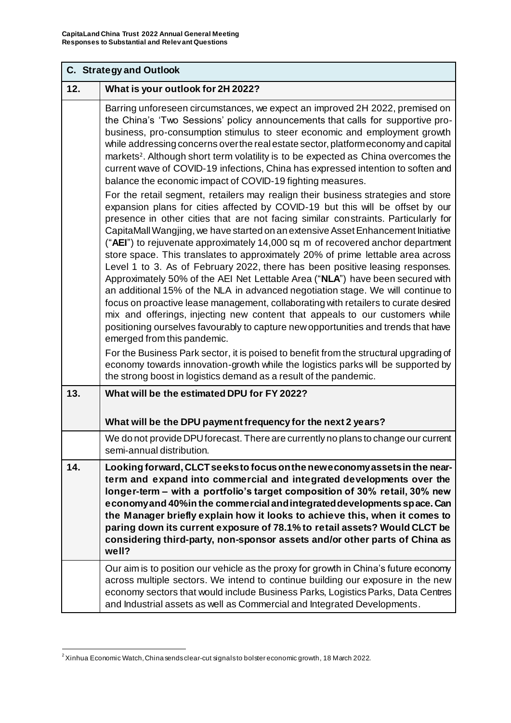|     | C. Strategy and Outlook                                                                                                                                                                                                                                                                                                                                                                                                                                                                                                                                                                                                                                                                                                                                                                                                                                                                                                                                                                                                                                                                                                                                                                                                                                                                                                                                                                                                                                                                                                                                                                                                                                                                                                                                                                                                                     |  |
|-----|---------------------------------------------------------------------------------------------------------------------------------------------------------------------------------------------------------------------------------------------------------------------------------------------------------------------------------------------------------------------------------------------------------------------------------------------------------------------------------------------------------------------------------------------------------------------------------------------------------------------------------------------------------------------------------------------------------------------------------------------------------------------------------------------------------------------------------------------------------------------------------------------------------------------------------------------------------------------------------------------------------------------------------------------------------------------------------------------------------------------------------------------------------------------------------------------------------------------------------------------------------------------------------------------------------------------------------------------------------------------------------------------------------------------------------------------------------------------------------------------------------------------------------------------------------------------------------------------------------------------------------------------------------------------------------------------------------------------------------------------------------------------------------------------------------------------------------------------|--|
| 12. | What is your outlook for 2H 2022?                                                                                                                                                                                                                                                                                                                                                                                                                                                                                                                                                                                                                                                                                                                                                                                                                                                                                                                                                                                                                                                                                                                                                                                                                                                                                                                                                                                                                                                                                                                                                                                                                                                                                                                                                                                                           |  |
|     | Barring unforeseen circumstances, we expect an improved 2H 2022, premised on<br>the China's 'Two Sessions' policy announcements that calls for supportive pro-<br>business, pro-consumption stimulus to steer economic and employment growth<br>while addressing concerns overthe real estate sector, platformeconomy and capital<br>markets <sup>2</sup> . Although short term volatility is to be expected as China overcomes the<br>current wave of COVID-19 infections, China has expressed intention to soften and<br>balance the economic impact of COVID-19 fighting measures.<br>For the retail segment, retailers may realign their business strategies and store<br>expansion plans for cities affected by COVID-19 but this will be offset by our<br>presence in other cities that are not facing similar constraints. Particularly for<br>CapitaMall Wangjing, we have started on an extensive Asset Enhancement Initiative<br>("AEI") to rejuvenate approximately 14,000 sq m of recovered anchor department<br>store space. This translates to approximately 20% of prime lettable area across<br>Level 1 to 3. As of February 2022, there has been positive leasing responses.<br>Approximately 50% of the AEI Net Lettable Area ("NLA") have been secured with<br>an additional 15% of the NLA in advanced negotiation stage. We will continue to<br>focus on proactive lease management, collaborating with retailers to curate desired<br>mix and offerings, injecting new content that appeals to our customers while<br>positioning ourselves favourably to capture new opportunities and trends that have<br>emerged from this pandemic.<br>For the Business Park sector, it is poised to benefit from the structural upgrading of<br>economy towards innovation-growth while the logistics parks will be supported by |  |
| 13. | the strong boost in logistics demand as a result of the pandemic.<br>What will be the estimated DPU for FY 2022?                                                                                                                                                                                                                                                                                                                                                                                                                                                                                                                                                                                                                                                                                                                                                                                                                                                                                                                                                                                                                                                                                                                                                                                                                                                                                                                                                                                                                                                                                                                                                                                                                                                                                                                            |  |
|     | What will be the DPU payment frequency for the next 2 years?                                                                                                                                                                                                                                                                                                                                                                                                                                                                                                                                                                                                                                                                                                                                                                                                                                                                                                                                                                                                                                                                                                                                                                                                                                                                                                                                                                                                                                                                                                                                                                                                                                                                                                                                                                                |  |
|     | We do not provide DPU forecast. There are currently no plans to change our current                                                                                                                                                                                                                                                                                                                                                                                                                                                                                                                                                                                                                                                                                                                                                                                                                                                                                                                                                                                                                                                                                                                                                                                                                                                                                                                                                                                                                                                                                                                                                                                                                                                                                                                                                          |  |
|     | semi-annual distribution.                                                                                                                                                                                                                                                                                                                                                                                                                                                                                                                                                                                                                                                                                                                                                                                                                                                                                                                                                                                                                                                                                                                                                                                                                                                                                                                                                                                                                                                                                                                                                                                                                                                                                                                                                                                                                   |  |
| 14. | Looking forward, CLCT seeksto focus on the newe conomy assets in the near-<br>term and expand into commercial and integrated developments over the<br>longer-term - with a portfolio's target composition of 30% retail, 30% new<br>economy and 40% in the commercial and integrated developments space. Can<br>the Manager briefly explain how it looks to achieve this, when it comes to<br>paring down its current exposure of 78.1% to retail assets? Would CLCT be<br>considering third-party, non-sponsor assets and/or other parts of China as<br>well?                                                                                                                                                                                                                                                                                                                                                                                                                                                                                                                                                                                                                                                                                                                                                                                                                                                                                                                                                                                                                                                                                                                                                                                                                                                                              |  |
|     | Our aim is to position our vehicle as the proxy for growth in China's future economy<br>across multiple sectors. We intend to continue building our exposure in the new<br>economy sectors that would include Business Parks, Logistics Parks, Data Centres<br>and Industrial assets as well as Commercial and Integrated Developments.                                                                                                                                                                                                                                                                                                                                                                                                                                                                                                                                                                                                                                                                                                                                                                                                                                                                                                                                                                                                                                                                                                                                                                                                                                                                                                                                                                                                                                                                                                     |  |

 $\overline{a}$  $^2$  Xinhua Economic Watch, China sends clear-cut signals to bolster economic growth, 18 March 2022.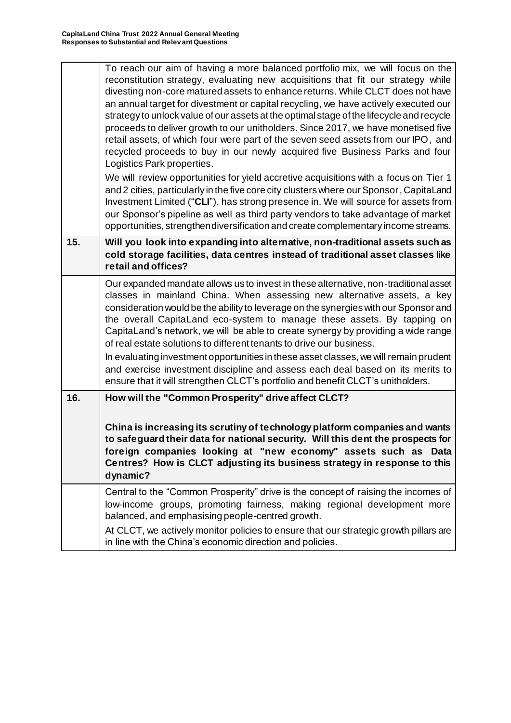| reconstitution strategy, evaluating new acquisitions that fit our strategy while<br>divesting non-core matured assets to enhance returns. While CLCT does not have<br>an annual target for divestment or capital recycling, we have actively executed our<br>strategy to unlock value of our assets at the optimal stage of the lifecycle and recycle<br>proceeds to deliver growth to our unitholders. Since 2017, we have monetised five<br>retail assets, of which four were part of the seven seed assets from our IPO, and<br>recycled proceeds to buy in our newly acquired five Business Parks and four<br>Logistics Park properties.<br>We will review opportunities for yield accretive acquisitions with a focus on Tier 1<br>and 2 cities, particularly in the five core city clusters where our Sponsor, CapitaLand<br>Investment Limited ("CLI"), has strong presence in. We will source for assets from<br>our Sponsor's pipeline as well as third party vendors to take advantage of market<br>opportunities, strengthen diversification and create complementary income streams. |
|--------------------------------------------------------------------------------------------------------------------------------------------------------------------------------------------------------------------------------------------------------------------------------------------------------------------------------------------------------------------------------------------------------------------------------------------------------------------------------------------------------------------------------------------------------------------------------------------------------------------------------------------------------------------------------------------------------------------------------------------------------------------------------------------------------------------------------------------------------------------------------------------------------------------------------------------------------------------------------------------------------------------------------------------------------------------------------------------------|
| Will you look into expanding into alternative, non-traditional assets such as<br>cold storage facilities, data centres instead of traditional asset classes like<br>retail and offices?                                                                                                                                                                                                                                                                                                                                                                                                                                                                                                                                                                                                                                                                                                                                                                                                                                                                                                          |
| Our expanded mandate allows us to invest in these alternative, non-traditional asset<br>classes in mainland China. When assessing new alternative assets, a key<br>consideration would be the ability to leverage on the synergies with our Sponsor and<br>the overall CapitaLand eco-system to manage these assets. By tapping on<br>CapitaLand's network, we will be able to create synergy by providing a wide range<br>of real estate solutions to different tenants to drive our business.<br>In evaluating investment opportunities in these asset classes, we will remain prudent<br>and exercise investment discipline and assess each deal based on its merits to<br>ensure that it will strengthen CLCT's portfolio and benefit CLCT's unitholders.                                                                                                                                                                                                                                                                                                                                    |
| How will the "Common Prosperity" drive affect CLCT?<br>China is increasing its scrutiny of technology platform companies and wants<br>to safeguard their data for national security. Will this dent the prospects for<br>foreign companies looking at "new economy" assets such as Data<br>Centres? How is CLCT adjusting its business strategy in response to this<br>dynamic?                                                                                                                                                                                                                                                                                                                                                                                                                                                                                                                                                                                                                                                                                                                  |
| Central to the "Common Prosperity" drive is the concept of raising the incomes of<br>low-income groups, promoting fairness, making regional development more<br>balanced, and emphasising people-centred growth.<br>At CLCT, we actively monitor policies to ensure that our strategic growth pillars are<br>in line with the China's economic direction and policies.                                                                                                                                                                                                                                                                                                                                                                                                                                                                                                                                                                                                                                                                                                                           |
|                                                                                                                                                                                                                                                                                                                                                                                                                                                                                                                                                                                                                                                                                                                                                                                                                                                                                                                                                                                                                                                                                                  |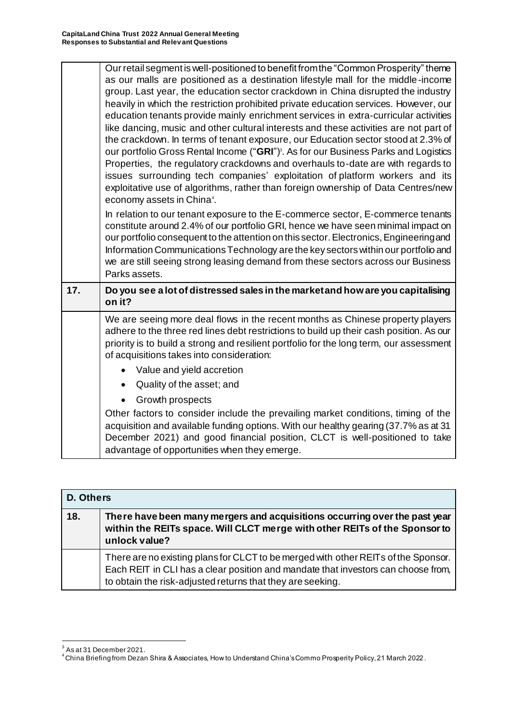|     | Our retail segment is well-positioned to benefit from the "Common Prosperity" theme<br>as our malls are positioned as a destination lifestyle mall for the middle-income<br>group. Last year, the education sector crackdown in China disrupted the industry<br>heavily in which the restriction prohibited private education services. However, our<br>education tenants provide mainly enrichment services in extra-curricular activities<br>like dancing, music and other cultural interests and these activities are not part of<br>the crackdown. In terms of tenant exposure, our Education sector stood at 2.3% of<br>our portfolio Gross Rental Income ("GRI") <sup>3</sup> . As for our Business Parks and Logistics<br>Properties, the regulatory crackdowns and overhauls to-date are with regards to<br>issues surrounding tech companies' exploitation of platform workers and its<br>exploitative use of algorithms, rather than foreign ownership of Data Centres/new<br>economy assets in China <sup>4</sup> . |
|-----|--------------------------------------------------------------------------------------------------------------------------------------------------------------------------------------------------------------------------------------------------------------------------------------------------------------------------------------------------------------------------------------------------------------------------------------------------------------------------------------------------------------------------------------------------------------------------------------------------------------------------------------------------------------------------------------------------------------------------------------------------------------------------------------------------------------------------------------------------------------------------------------------------------------------------------------------------------------------------------------------------------------------------------|
|     | In relation to our tenant exposure to the E-commerce sector, E-commerce tenants<br>constitute around 2.4% of our portfolio GRI, hence we have seen minimal impact on<br>our portfolio consequent to the attention on this sector. Electronics, Engineering and<br>Information Communications Technology are the key sectors within our portfolio and<br>we are still seeing strong leasing demand from these sectors across our Business<br>Parks assets.                                                                                                                                                                                                                                                                                                                                                                                                                                                                                                                                                                      |
| 17. | Do you see a lot of distressed sales in the market and how are you capitalising<br>on it?                                                                                                                                                                                                                                                                                                                                                                                                                                                                                                                                                                                                                                                                                                                                                                                                                                                                                                                                      |
|     | We are seeing more deal flows in the recent months as Chinese property players<br>adhere to the three red lines debt restrictions to build up their cash position. As our<br>priority is to build a strong and resilient portfolio for the long term, our assessment<br>of acquisitions takes into consideration:                                                                                                                                                                                                                                                                                                                                                                                                                                                                                                                                                                                                                                                                                                              |
|     | Value and yield accretion                                                                                                                                                                                                                                                                                                                                                                                                                                                                                                                                                                                                                                                                                                                                                                                                                                                                                                                                                                                                      |
|     | Quality of the asset; and                                                                                                                                                                                                                                                                                                                                                                                                                                                                                                                                                                                                                                                                                                                                                                                                                                                                                                                                                                                                      |
|     | Growth prospects<br>Other factors to consider include the prevailing market conditions, timing of the                                                                                                                                                                                                                                                                                                                                                                                                                                                                                                                                                                                                                                                                                                                                                                                                                                                                                                                          |
|     | acquisition and available funding options. With our healthy gearing (37.7% as at 31<br>December 2021) and good financial position, CLCT is well-positioned to take<br>advantage of opportunities when they emerge.                                                                                                                                                                                                                                                                                                                                                                                                                                                                                                                                                                                                                                                                                                                                                                                                             |

| <b>D. Others</b> |                                                                                                                                                                                                                                       |
|------------------|---------------------------------------------------------------------------------------------------------------------------------------------------------------------------------------------------------------------------------------|
| 18.              | There have been many mergers and acquisitions occurring over the past year<br>within the REITs space. Will CLCT merge with other REITs of the Sponsor to<br>unlock value?                                                             |
|                  | There are no existing plans for CLCT to be merged with other REITs of the Sponsor.<br>Each REIT in CLI has a clear position and mandate that investors can choose from,<br>to obtain the risk-adjusted returns that they are seeking. |

<sup>&</sup>lt;u>。</u><br>3 As at 31 December 2021.

 $^4$ China Briefing from Dezan Shira & Associates, How to Understand China's Commo Prosperity Policy, 21 March 2022 .